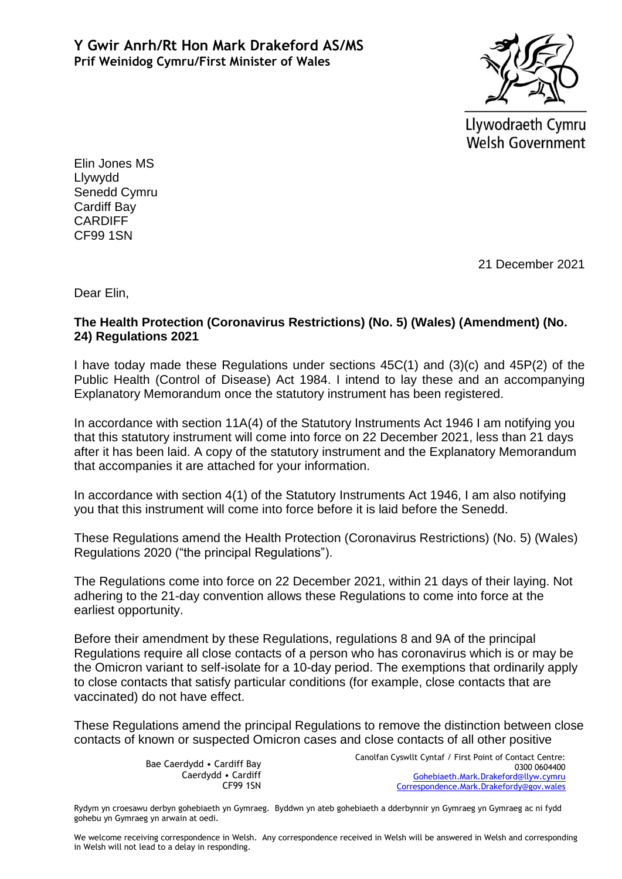

Llywodraeth Cymru **Welsh Government** 

Elin Jones MS Llywydd Senedd Cymru Cardiff Bay CARDIFF CF99 1SN

21 December 2021

Dear Elin,

## **The Health Protection (Coronavirus Restrictions) (No. 5) (Wales) (Amendment) (No. 24) Regulations 2021**

I have today made these Regulations under sections 45C(1) and (3)(c) and 45P(2) of the Public Health (Control of Disease) Act 1984. I intend to lay these and an accompanying Explanatory Memorandum once the statutory instrument has been registered.

In accordance with section 11A(4) of the Statutory Instruments Act 1946 I am notifying you that this statutory instrument will come into force on 22 December 2021, less than 21 days after it has been laid. A copy of the statutory instrument and the Explanatory Memorandum that accompanies it are attached for your information.

In accordance with section 4(1) of the Statutory Instruments Act 1946, I am also notifying you that this instrument will come into force before it is laid before the Senedd.

These Regulations amend the [Health Protection \(Coronavirus Restrictions\) \(No. 5\) \(Wales\)](https://www.legislation.gov.uk/wsi/2020/1609/contents)  [Regulations 2020](https://www.legislation.gov.uk/wsi/2020/1609/contents) ("the principal Regulations").

The Regulations come into force on 22 December 2021, within 21 days of their laying. Not adhering to the 21-day convention allows these Regulations to come into force at the earliest opportunity.

Before their amendment by these Regulations, regulations 8 and 9A of the principal Regulations require all close contacts of a person who has coronavirus which is or may be the Omicron variant to self-isolate for a 10-day period. The exemptions that ordinarily apply to close contacts that satisfy particular conditions (for example, close contacts that are vaccinated) do not have effect.

These Regulations amend the principal Regulations to remove the distinction between close contacts of known or suspected Omicron cases and close contacts of all other positive

> Bae Caerdydd • Cardiff Bay Caerdydd • Cardiff CF99 1SN

Canolfan Cyswllt Cyntaf / First Point of Contact Centre: 0300 0604400 [Gohebiaeth.Mark.Drakeford@llyw.cymru](mailto:Gohebiaeth.Mark.Drakeford@llyw.cymru) [Correspondence.Mark.Drakefordy@gov.wales](mailto:Correspondence.Mark.Drakefordy@gov.wales)

Rydym yn croesawu derbyn gohebiaeth yn Gymraeg. Byddwn yn ateb gohebiaeth a dderbynnir yn Gymraeg yn Gymraeg ac ni fydd gohebu yn Gymraeg yn arwain at oedi.

We welcome receiving correspondence in Welsh. Any correspondence received in Welsh will be answered in Welsh and corresponding in Welsh will not lead to a delay in responding.